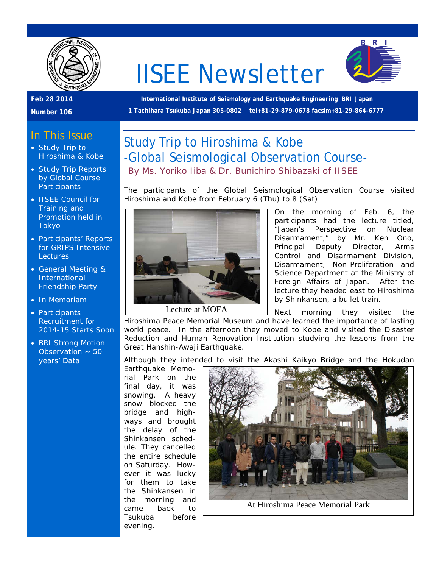

# IISEE Newsletter



#### **Feb 28 2014**

**Number 106**

**International Institute of Seismology and Earthquake Engineering BRI Japan 1 Tachihara Tsukuba Japan 305-0802 tel+81-29-879-0678 facsim+81-29-864-6777**

### In This Issue

- Study Trip to Hiroshima & Kobe
- Study Trip Reports by Global Course **Participants**
- IISEE Council for Training and Promotion held in Tokyo
- Participants' Reports for GRIPS Intensive **Lectures**
- General Meeting & International Friendship Party
- In Memoriam
- Participants Recruitment for 2014-15 Starts Soon
- BRI Strong Motion Observation  $\sim$  50 years' Data



The participants of the Global Seismological Observation Course visited Hiroshima and Kobe from February 6 (Thu) to 8 (Sat).



On the morning of Feb. 6, the participants had the lecture titled, "Japan's Perspective on Nuclear Disarmament," by Mr. Ken Ono, Principal Deputy Director, Arms Control and Disarmament Division, Disarmament, Non-Proliferation and Science Department at the Ministry of Foreign Affairs of Japan. After the lecture they headed east to Hiroshima by Shinkansen, a bullet train.

Next morning they visited the Hiroshima Peace Memorial Museum and have learned the importance of lasting world peace. In the afternoon they moved to Kobe and visited the Disaster Reduction and Human Renovation Institution studying the lessons from the Great Hanshin-Awaji Earthquake.

Although they intended to visit the Akashi Kaikyo Bridge and the Hokudan

Earthquake Memorial Park on the final day, it was snowing. A heavy snow blocked the bridge and highways and brought the delay of the Shinkansen schedule. They cancelled the entire schedule on Saturday. However it was lucky for them to take the Shinkansen in the morning and came back to Tsukuba before evening.



At Hiroshima Peace Memorial Park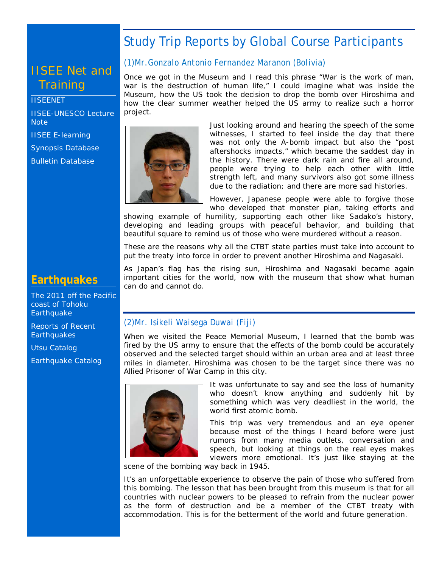# Study Trip Reports by Global Course Participants

# IISEE Net and **Training**

#### **[IISEENET](http://iisee.kenken.go.jp/net/)**

[IISEE-UNESCO Lecture](http://iisee/lna/)  **[Note](http://iisee/lna/)** 

[IISEE E-learning](http://iisee/el/) [Synopsis Database](http://iisee/syndb/)

[Bulletin Database](http://iisee/bltndb/)

### **Earthquakes**

[The 2011 off the Pacific](http://iisee/special2/20110311tohoku.htm)  [coast of Tohoku](http://iisee/special2/20110311tohoku.htm)  **[Earthquake](http://iisee/special2/20110311tohoku.htm)** 

[Reports of Recent](http://iisee/quakes.htm)  **[Earthquakes](http://iisee/quakes.htm)** 

[Utsu Catalog](http://iisee/utsu/index_eng.html)

[Earthquake Catalog](http://iisee/eqcat/Top_page_en.htm)

#### *(1)Mr.Gonzalo Antonio Fernandez Maranon (Bolivia)*

Once we got in the Museum and I read this phrase "War is the work of man, war is the destruction of human life," I could imagine what was inside the Museum, how the US took the decision to drop the bomb over Hiroshima and how the clear summer weather helped the US army to realize such a horror project.



Just looking around and hearing the speech of the some witnesses, I started to feel inside the day that there was not only the A-bomb impact but also the "post aftershocks impacts," which became the saddest day in the history. There were dark rain and fire all around, people were trying to help each other with little strength left, and many survivors also got some illness due to the radiation; and there are more sad histories.

However, Japanese people were able to forgive those who developed that monster plan, taking efforts and

showing example of humility, supporting each other like Sadako's history, developing and leading groups with peaceful behavior, and building that beautiful square to remind us of those who were murdered without a reason.

These are the reasons why all the CTBT state parties must take into account to put the treaty into force in order to prevent another Hiroshima and Nagasaki.

As Japan's flag has the rising sun, Hiroshima and Nagasaki became again important cities for the world, now with the museum that show what human can do and cannot do.

#### *(2)Mr. Isikeli Waisega Duwai (Fiji)*

When we visited the Peace Memorial Museum, I learned that the bomb was fired by the US army to ensure that the effects of the bomb could be accurately observed and the selected target should within an urban area and at least three miles in diameter. Hiroshima was chosen to be the target since there was no Allied Prisoner of War Camp in this city.



It was unfortunate to say and see the loss of humanity who doesn't know anything and suddenly hit by something which was very deadliest in the world, the world first atomic bomb.

This trip was very tremendous and an eye opener because most of the things I heard before were just rumors from many media outlets, conversation and speech, but looking at things on the real eyes makes viewers more emotional. It's just like staying at the

scene of the bombing way back in 1945.

It's an unforgettable experience to observe the pain of those who suffered from this bombing. The lesson that has been brought from this museum is that for all countries with nuclear powers to be pleased to refrain from the nuclear power as the form of destruction and be a member of the CTBT treaty with accommodation. This is for the betterment of the world and future generation.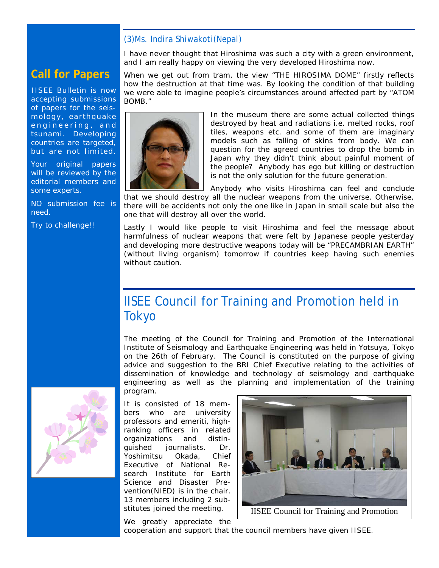#### *(3)Ms. Indira Shiwakoti(Nepal)*

I have never thought that Hiroshima was such a city with a green environment, and I am really happy on viewing the very developed Hiroshima now.

### **Call for Papers**

IISEE Bulletin is now accepting submissions of papers for the seismology, earthquake engineering, and tsunami. Developing countries are targeted, but are not limited.

Your original papers will be reviewed by the editorial members and some experts.

NO submission fee is need.

Try to challenge!!





In the museum there are some actual collected things destroyed by heat and radiations i.e. melted rocks, roof tiles, weapons etc. and some of them are imaginary models such as falling of skins from body. We can question for the agreed countries to drop the bomb in Japan why they didn't think about painful moment of the people? Anybody has ego but killing or destruction is not the only solution for the future generation.

Anybody who visits Hiroshima can feel and conclude that we should destroy all the nuclear weapons from the universe. Otherwise, there will be accidents not only the one like in Japan in small scale but also the one that will destroy all over the world.

Lastly I would like people to visit Hiroshima and feel the message about harmfulness of nuclear weapons that were felt by Japanese people yesterday and developing more destructive weapons today will be "PRECAMBRIAN EARTH" (without living organism) tomorrow if countries keep having such enemies without caution.

# IISEE Council for Training and Promotion held in Tokyo

The meeting of the Council for Training and Promotion of the International Institute of Seismology and Earthquake Engineering was held in Yotsuya, Tokyo on the 26th of February. The Council is constituted on the purpose of giving advice and suggestion to the BRI Chief Executive relating to the activities of dissemination of knowledge and technology of seismology and earthquake engineering as well as the planning and implementation of the training program.



It is consisted of 18 members who are university professors and emeriti, highranking officers in related organizations and distinguished journalists. Dr. Yoshimitsu Okada, Chief Executive of National Research Institute for Earth Science and Disaster Prevention(NIED) is in the chair. 13 members including 2 substitutes joined the meeting.



IISEE Council for Training and Promotion

We greatly appreciate the

cooperation and support that the council members have given IISEE.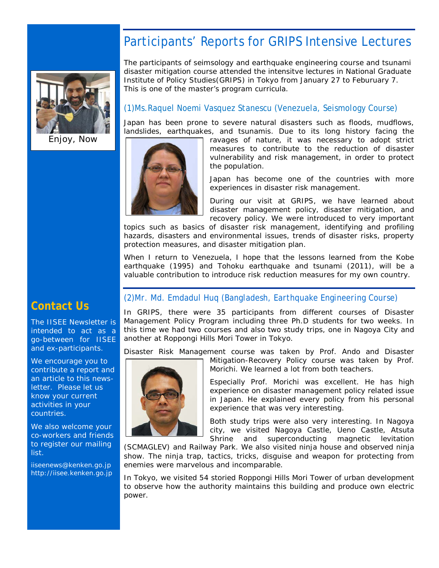# Participants' Reports for GRIPS Intensive Lectures



Enjoy, Now

*The participants of seimsology and earthquake engineering course and tsunami disaster mitigation course attended the intensitve lectures in National Graduate Institute of Policy Studies(GRIPS) in Tokyo from January 27 to Feburuary 7. This is one of the master's program curricula.*

#### *(1)Ms.Raquel Noemi Vasquez Stanescu (Venezuela, Seismology Course)*

Japan has been prone to severe natural disasters such as floods, mudflows, landslides, earthquakes, and tsunamis. Due to its long history facing the



ravages of nature, it was necessary to adopt strict measures to contribute to the reduction of disaster vulnerability and risk management, in order to protect the population.

Japan has become one of the countries with more experiences in disaster risk management.

During our visit at GRIPS, we have learned about disaster management policy, disaster mitigation, and recovery policy. We were introduced to very important

topics such as basics of disaster risk management, identifying and profiling hazards, disasters and environmental issues, trends of disaster risks, property protection measures, and disaster mitigation plan.

When I return to Venezuela, I hope that the lessons learned from the Kobe earthquake (1995) and Tohoku earthquake and tsunami (2011), will be a valuable contribution to introduce risk reduction measures for my own country.

### **Contact Us**

The IISEE Newsletter is intended to act as a go-between for IISEE and ex-participants.

We encourage you to contribute a report and an article to this newsletter. Please let us know your current activities in your countries.

We also welcome your co-workers and friends to register our mailing list.

iiseenews@kenken.go.jp [http://iisee.kenken.go.jp](http://iisee.kenken.go.jp/)

#### *(2)Mr. Md. Emdadul Huq (Bangladesh, Earthquake Engineering Course)*

In GRIPS, there were 35 participants from different courses of Disaster Management Policy Program including three Ph.D students for two weeks. In this time we had two courses and also two study trips, one in Nagoya City and another at Roppongi Hills Mori Tower in Tokyo.

Disaster Risk Management course was taken by Prof. Ando and Disaster



Mitigation-Recovery Policy course was taken by Prof. Morichi. We learned a lot from both teachers.

Especially Prof. Morichi was excellent. He has high experience on disaster management policy related issue in Japan. He explained every policy from his personal experience that was very interesting.

Both study trips were also very interesting. In Nagoya city, we visited Nagoya Castle, Ueno Castle, Atsuta Shrine and superconducting magnetic levitation

(SCMAGLEV) and Railway Park. We also visited ninja house and observed ninja show. The ninja trap, tactics, tricks, disguise and weapon for protecting from enemies were marvelous and incomparable.

In Tokyo, we visited 54 storied Roppongi Hills Mori Tower of urban development to observe how the authority maintains this building and produce own electric power.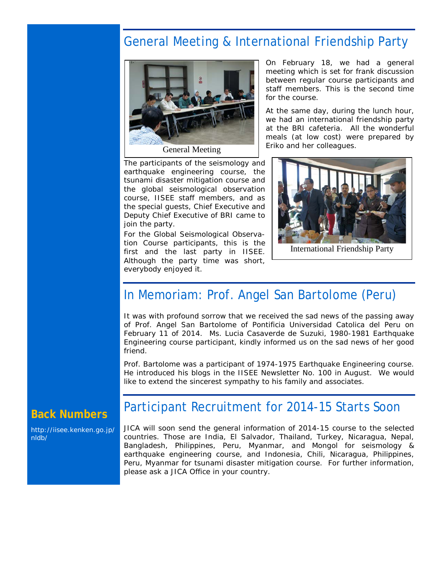# General Meeting & International Friendship Party



The participants of the seismology and earthquake engineering course, the tsunami disaster mitigation course and the global seismological observation course, IISEE staff members, and as the special guests, Chief Executive and Deputy Chief Executive of BRI came to join the party.

For the Global Seismological Observation Course participants, this is the first and the last party in IISEE. Although the party time was short, everybody enjoyed it.

On February 18, we had a general meeting which is set for frank discussion between regular course participants and staff members. This is the second time for the course.

At the same day, during the lunch hour, we had an international friendship party at the BRI cafeteria. All the wonderful meals (at low cost) were prepared by Eriko and her colleagues.



International Friendship Party

### In Memoriam: Prof. Angel San Bartolome (Peru)

It was with profound sorrow that we received the sad news of the passing away of Prof. Angel San Bartolome of Pontificia Universidad Catolica del Peru on February 11 of 2014. Ms. Lucia Casaverde de Suzuki, 1980-1981 Earthquake Engineering course participant, kindly informed us on the sad news of her good friend.

Prof. Bartolome was a participant of 1974-1975 Earthquake Engineering course. He introduced his blogs in the IISEE Newsletter No. 100 in August. We would like to extend the sincerest sympathy to his family and associates.

### **Back Numbers**

[http://iisee.kenken.go.jp/](http://iisee.kenken.go.jp/nldb/) [nldb/](http://iisee.kenken.go.jp/nldb/)

### Participant Recruitment for 2014-15 Starts Soon

JICA will soon send the general information of 2014-15 course to the selected countries. Those are India, El Salvador, Thailand, Turkey, Nicaragua, Nepal, Bangladesh, Philippines, Peru, Myanmar, and Mongol for seismology & earthquake engineering course, and Indonesia, Chili, Nicaragua, Philippines, Peru, Myanmar for tsunami disaster mitigation course. For further information, please ask a JICA Office in your country.